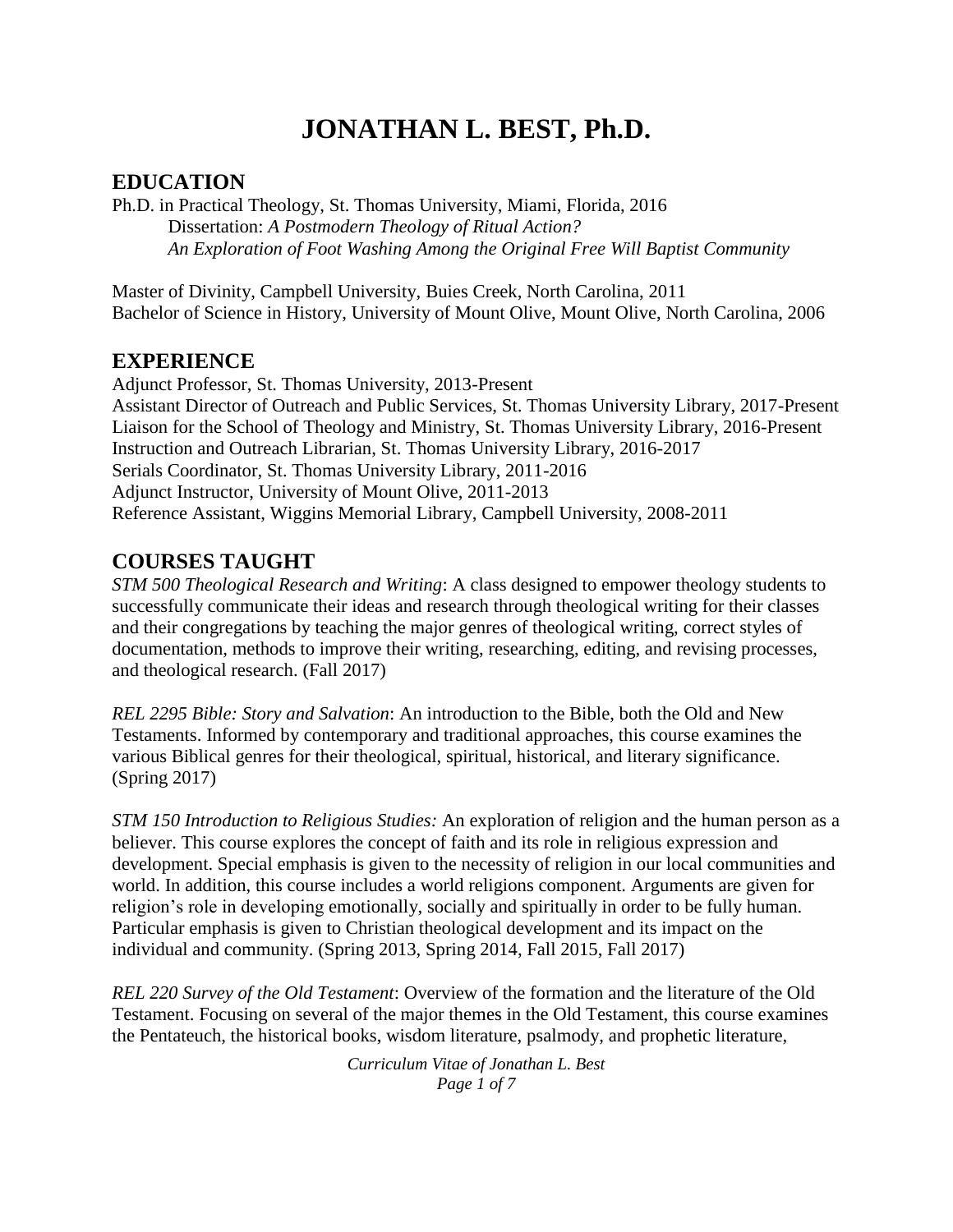# **JONATHAN L. BEST, Ph.D.**

## **EDUCATION**

Ph.D. in Practical Theology, St. Thomas University, Miami, Florida, 2016 Dissertation: *A Postmodern Theology of Ritual Action? An Exploration of Foot Washing Among the Original Free Will Baptist Community*

Master of Divinity, Campbell University, Buies Creek, North Carolina, 2011 Bachelor of Science in History, University of Mount Olive, Mount Olive, North Carolina, 2006

## **EXPERIENCE**

Adjunct Professor, St. Thomas University, 2013-Present Assistant Director of Outreach and Public Services, St. Thomas University Library, 2017-Present Liaison for the School of Theology and Ministry, St. Thomas University Library, 2016-Present Instruction and Outreach Librarian, St. Thomas University Library, 2016-2017 Serials Coordinator, St. Thomas University Library, 2011-2016 Adjunct Instructor, University of Mount Olive, 2011-2013 Reference Assistant, Wiggins Memorial Library, Campbell University, 2008-2011

## **COURSES TAUGHT**

*STM 500 Theological Research and Writing*: A class designed to empower theology students to successfully communicate their ideas and research through theological writing for their classes and their congregations by teaching the major genres of theological writing, correct styles of documentation, methods to improve their writing, researching, editing, and revising processes, and theological research. (Fall 2017)

*REL 2295 Bible: Story and Salvation*: An introduction to the Bible, both the Old and New Testaments. Informed by contemporary and traditional approaches, this course examines the various Biblical genres for their theological, spiritual, historical, and literary significance. (Spring 2017)

*STM 150 Introduction to Religious Studies:* An exploration of religion and the human person as a believer. This course explores the concept of faith and its role in religious expression and development. Special emphasis is given to the necessity of religion in our local communities and world. In addition, this course includes a world religions component. Arguments are given for religion's role in developing emotionally, socially and spiritually in order to be fully human. Particular emphasis is given to Christian theological development and its impact on the individual and community. (Spring 2013, Spring 2014, Fall 2015, Fall 2017)

*REL 220 Survey of the Old Testament*: Overview of the formation and the literature of the Old Testament. Focusing on several of the major themes in the Old Testament, this course examines the Pentateuch, the historical books, wisdom literature, psalmody, and prophetic literature,

> *Curriculum Vitae of Jonathan L. Best Page 1 of 7*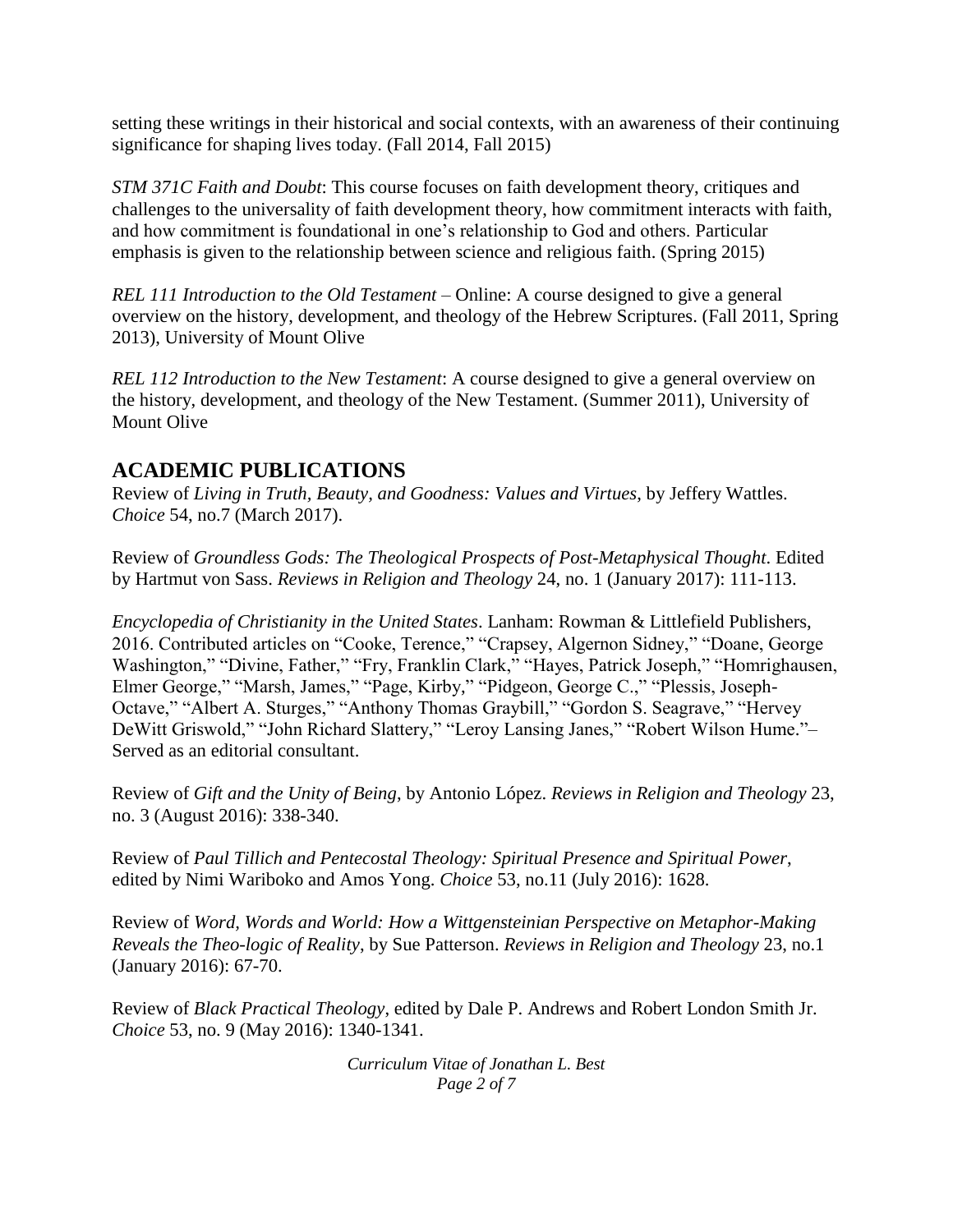setting these writings in their historical and social contexts, with an awareness of their continuing significance for shaping lives today. (Fall 2014, Fall 2015)

*STM 371C Faith and Doubt*: This course focuses on faith development theory, critiques and challenges to the universality of faith development theory, how commitment interacts with faith, and how commitment is foundational in one's relationship to God and others. Particular emphasis is given to the relationship between science and religious faith. (Spring 2015)

*REL 111 Introduction to the Old Testament* – Online: A course designed to give a general overview on the history, development, and theology of the Hebrew Scriptures. (Fall 2011, Spring 2013), University of Mount Olive

*REL 112 Introduction to the New Testament*: A course designed to give a general overview on the history, development, and theology of the New Testament. (Summer 2011), University of Mount Olive

## **ACADEMIC PUBLICATIONS**

Review of *Living in Truth, Beauty, and Goodness: Values and Virtues*, by Jeffery Wattles. *Choice* 54, no.7 (March 2017).

Review of *Groundless Gods: The Theological Prospects of Post-Metaphysical Thought*. Edited by Hartmut von Sass. *Reviews in Religion and Theology* 24, no. 1 (January 2017): 111-113.

*Encyclopedia of Christianity in the United States*. Lanham: Rowman & Littlefield Publishers, 2016. Contributed articles on "Cooke, Terence," "Crapsey, Algernon Sidney," "Doane, George Washington," "Divine, Father," "Fry, Franklin Clark," "Hayes, Patrick Joseph," "Homrighausen, Elmer George," "Marsh, James," "Page, Kirby," "Pidgeon, George C.," "Plessis, Joseph-Octave," "Albert A. Sturges," "Anthony Thomas Graybill," "Gordon S. Seagrave," "Hervey DeWitt Griswold," "John Richard Slattery," "Leroy Lansing Janes," "Robert Wilson Hume."– Served as an editorial consultant.

Review of *Gift and the Unity of Being*, by Antonio López. *Reviews in Religion and Theology* 23, no. 3 (August 2016): 338-340.

Review of *Paul Tillich and Pentecostal Theology: Spiritual Presence and Spiritual Power*, edited by Nimi Wariboko and Amos Yong. *Choice* 53, no.11 (July 2016): 1628.

Review of *Word, Words and World: How a Wittgensteinian Perspective on Metaphor-Making Reveals the Theo-logic of Reality*, by Sue Patterson. *Reviews in Religion and Theology* 23, no.1 (January 2016): 67-70.

Review of *Black Practical Theology*, edited by Dale P. Andrews and Robert London Smith Jr. *Choice* 53, no. 9 (May 2016): 1340-1341.

> *Curriculum Vitae of Jonathan L. Best Page 2 of 7*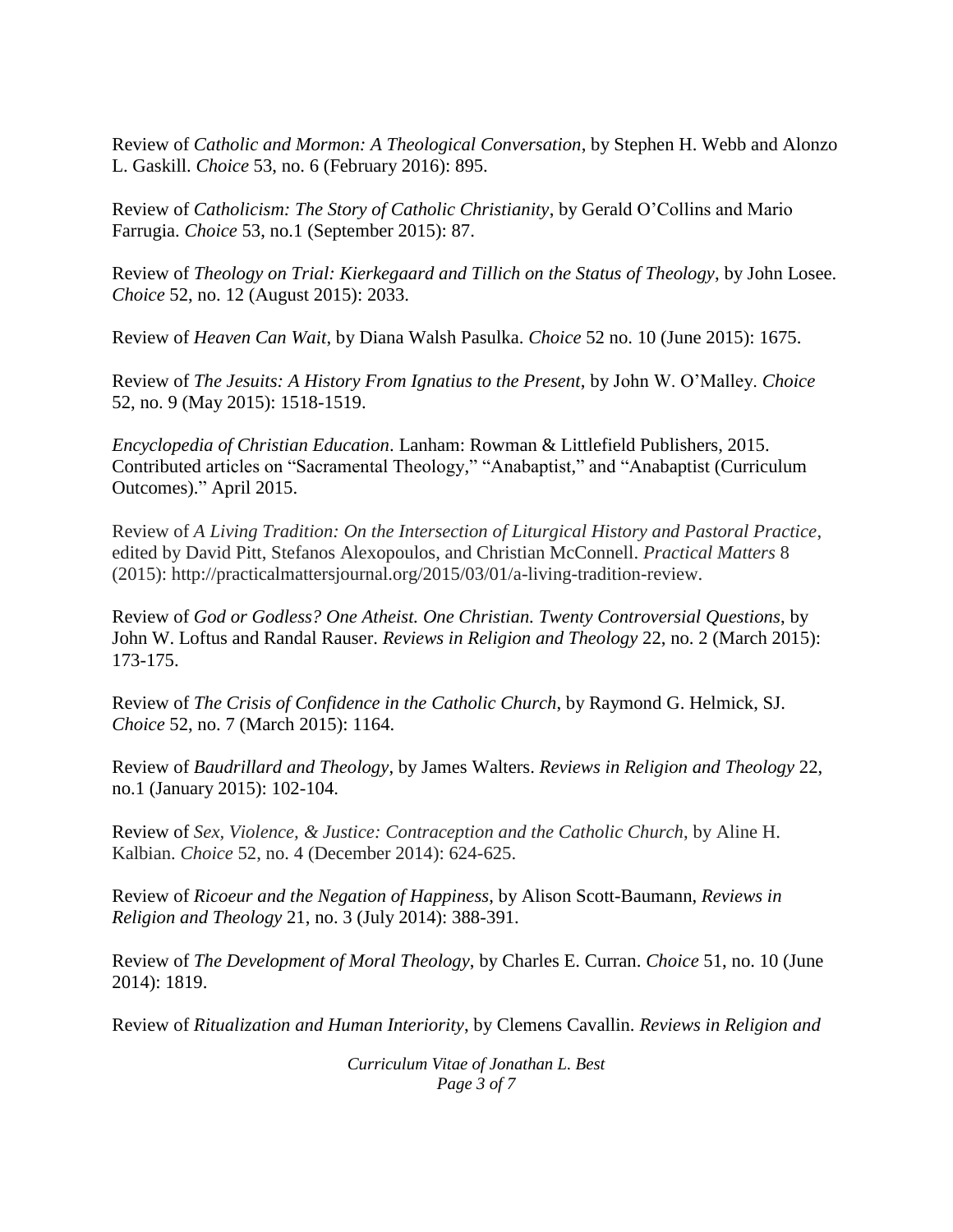Review of *Catholic and Mormon: A Theological Conversation*, by Stephen H. Webb and Alonzo L. Gaskill. *Choice* 53, no. 6 (February 2016): 895.

Review of *Catholicism: The Story of Catholic Christianity*, by Gerald O'Collins and Mario Farrugia. *Choice* 53, no.1 (September 2015): 87.

Review of *Theology on Trial: Kierkegaard and Tillich on the Status of Theology*, by John Losee. *Choice* 52, no. 12 (August 2015): 2033.

Review of *Heaven Can Wait*, by Diana Walsh Pasulka. *Choice* 52 no. 10 (June 2015): 1675.

Review of *The Jesuits: A History From Ignatius to the Present*, by John W. O'Malley. *Choice*  52, no. 9 (May 2015): 1518-1519.

*Encyclopedia of Christian Education*. Lanham: Rowman & Littlefield Publishers, 2015. Contributed articles on "Sacramental Theology," "Anabaptist," and "Anabaptist (Curriculum Outcomes)." April 2015.

Review of *A Living Tradition: On the Intersection of Liturgical History and Pastoral Practice*, edited by David Pitt, Stefanos Alexopoulos, and Christian McConnell. *Practical Matters* 8 (2015): http://practicalmattersjournal.org/2015/03/01/a-living-tradition-review.

Review of *God or Godless? One Atheist. One Christian. Twenty Controversial Questions*, by John W. Loftus and Randal Rauser. *Reviews in Religion and Theology* 22, no. 2 (March 2015): 173-175.

Review of *The Crisis of Confidence in the Catholic Church*, by Raymond G. Helmick, SJ. *Choice* 52, no. 7 (March 2015): 1164.

Review of *Baudrillard and Theology*, by James Walters. *Reviews in Religion and Theology* 22, no.1 (January 2015): 102-104.

Review of *Sex, Violence, & Justice: Contraception and the Catholic Church*, by Aline H. Kalbian. *Choice* 52, no. 4 (December 2014): 624-625.

Review of *Ricoeur and the Negation of Happiness*, by Alison Scott-Baumann, *Reviews in Religion and Theology* 21, no. 3 (July 2014): 388-391.

Review of *The Development of Moral Theology*, by Charles E. Curran. *Choice* 51, no. 10 (June 2014): 1819.

Review of *Ritualization and Human Interiority*, by Clemens Cavallin. *Reviews in Religion and* 

*Curriculum Vitae of Jonathan L. Best Page 3 of 7*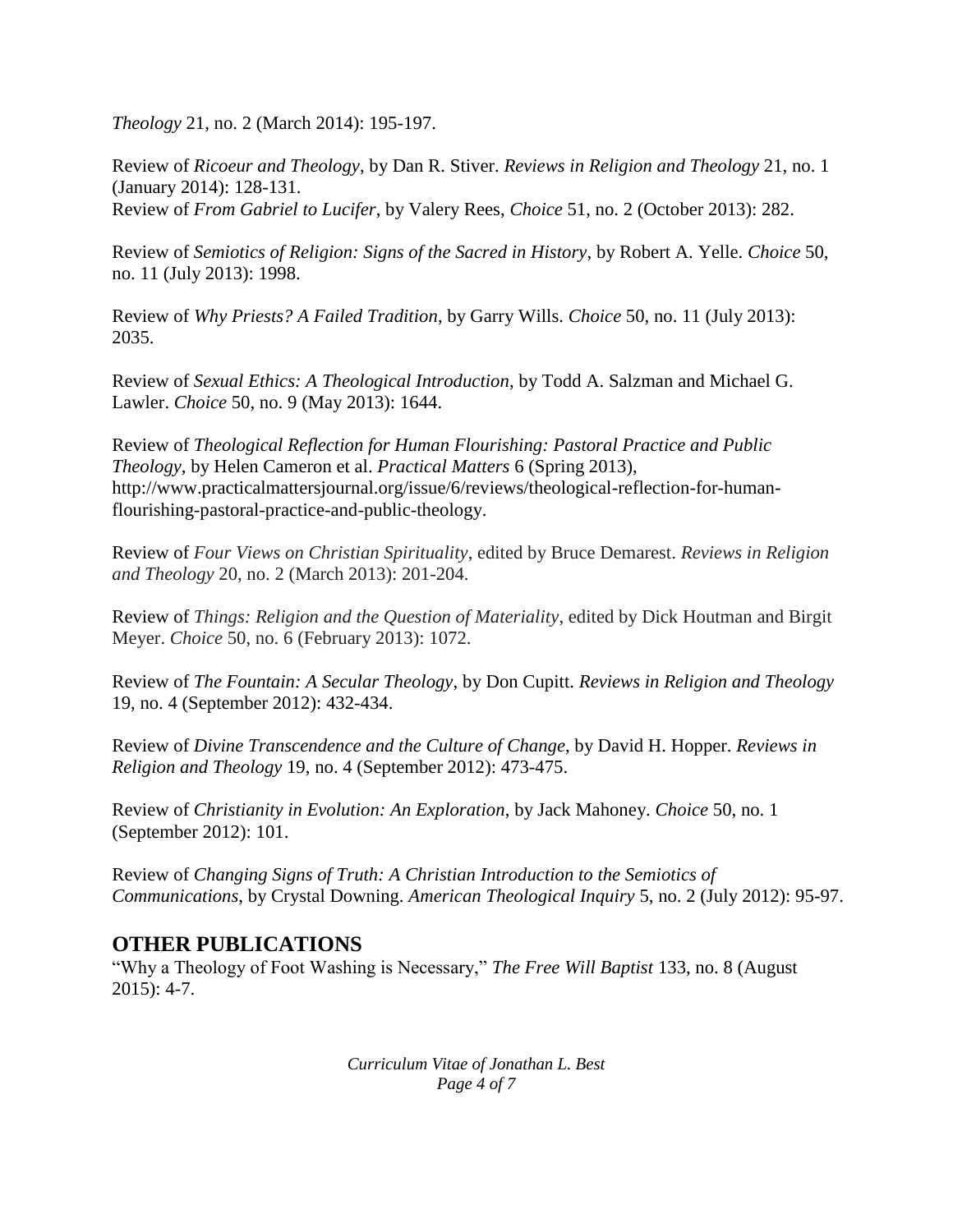*Theology* 21, no. 2 (March 2014): 195-197.

Review of *Ricoeur and Theology*, by Dan R. Stiver. *Reviews in Religion and Theology* 21, no. 1 (January 2014): 128-131.

Review of *From Gabriel to Lucifer*, by Valery Rees, *Choice* 51, no. 2 (October 2013): 282.

Review of *Semiotics of Religion: Signs of the Sacred in History*, by Robert A. Yelle. *Choice* 50, no. 11 (July 2013): 1998.

Review of *Why Priests? A Failed Tradition*, by Garry Wills. *Choice* 50, no. 11 (July 2013): 2035.

Review of *Sexual Ethics: A Theological Introduction*, by Todd A. Salzman and Michael G. Lawler. *Choice* 50, no. 9 (May 2013): 1644.

Review of *Theological Reflection for Human Flourishing: Pastoral Practice and Public Theology*, by Helen Cameron et al. *Practical Matters* 6 (Spring 2013), http://www.practicalmattersjournal.org/issue/6/reviews/theological-reflection-for-humanflourishing-pastoral-practice-and-public-theology.

Review of *Four Views on Christian Spirituality*, edited by Bruce Demarest. *Reviews in Religion and Theology* 20, no. 2 (March 2013): 201-204.

Review of *Things: Religion and the Question of Materiality*, edited by Dick Houtman and Birgit Meyer. *Choice* 50, no. 6 (February 2013): 1072.

Review of *The Fountain: A Secular Theology*, by Don Cupitt. *Reviews in Religion and Theology* 19, no. 4 (September 2012): 432-434.

Review of *Divine Transcendence and the Culture of Change*, by David H. Hopper. *Reviews in Religion and Theology* 19, no. 4 (September 2012): 473-475.

Review of *Christianity in Evolution: An Exploration*, by Jack Mahoney. *Choice* 50, no. 1 (September 2012): 101.

Review of *Changing Signs of Truth: A Christian Introduction to the Semiotics of Communications*, by Crystal Downing. *American Theological Inquiry* 5, no. 2 (July 2012): 95-97.

## **OTHER PUBLICATIONS**

"Why a Theology of Foot Washing is Necessary," *The Free Will Baptist* 133, no. 8 (August 2015): 4-7.

> *Curriculum Vitae of Jonathan L. Best Page 4 of 7*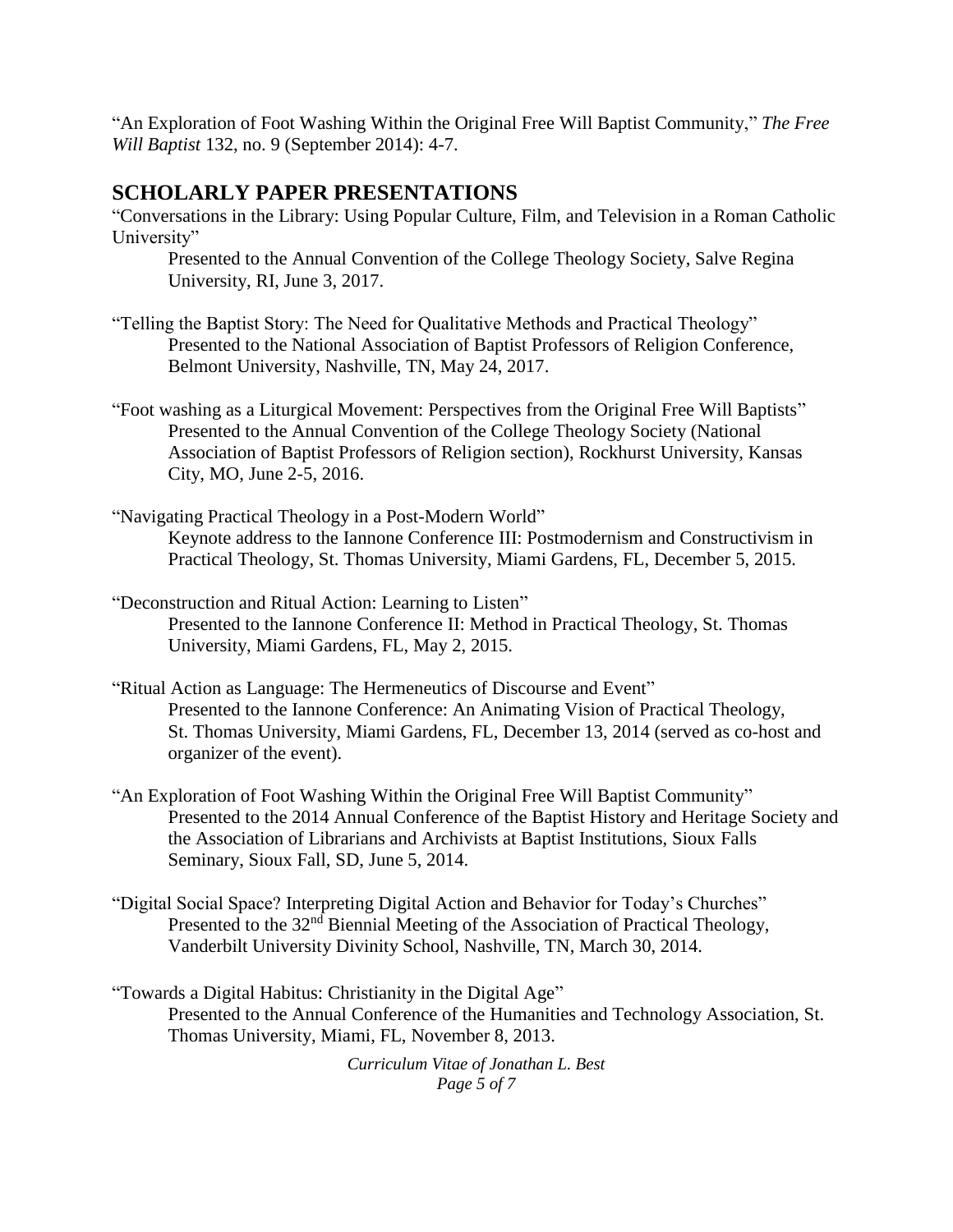"An Exploration of Foot Washing Within the Original Free Will Baptist Community," *The Free Will Baptist* 132, no. 9 (September 2014): 4-7.

#### **SCHOLARLY PAPER PRESENTATIONS**

"Conversations in the Library: Using Popular Culture, Film, and Television in a Roman Catholic University"

Presented to the Annual Convention of the College Theology Society, Salve Regina University, RI, June 3, 2017.

- "Telling the Baptist Story: The Need for Qualitative Methods and Practical Theology" Presented to the National Association of Baptist Professors of Religion Conference, Belmont University, Nashville, TN, May 24, 2017.
- "Foot washing as a Liturgical Movement: Perspectives from the Original Free Will Baptists" Presented to the Annual Convention of the College Theology Society (National Association of Baptist Professors of Religion section), Rockhurst University, Kansas City, MO, June 2-5, 2016.
- "Navigating Practical Theology in a Post-Modern World" Keynote address to the Iannone Conference III: Postmodernism and Constructivism in Practical Theology, St. Thomas University, Miami Gardens, FL, December 5, 2015.
- "Deconstruction and Ritual Action: Learning to Listen" Presented to the Iannone Conference II: Method in Practical Theology, St. Thomas University, Miami Gardens, FL, May 2, 2015.
- "Ritual Action as Language: The Hermeneutics of Discourse and Event" Presented to the Iannone Conference: An Animating Vision of Practical Theology, St. Thomas University, Miami Gardens, FL, December 13, 2014 (served as co-host and organizer of the event).
- "An Exploration of Foot Washing Within the Original Free Will Baptist Community" Presented to the 2014 Annual Conference of the Baptist History and Heritage Society and the Association of Librarians and Archivists at Baptist Institutions, Sioux Falls Seminary, Sioux Fall, SD, June 5, 2014.
- "Digital Social Space? Interpreting Digital Action and Behavior for Today's Churches" Presented to the 32<sup>nd</sup> Biennial Meeting of the Association of Practical Theology, Vanderbilt University Divinity School, Nashville, TN, March 30, 2014.
- "Towards a Digital Habitus: Christianity in the Digital Age" Presented to the Annual Conference of the Humanities and Technology Association, St. Thomas University, Miami, FL, November 8, 2013.

*Curriculum Vitae of Jonathan L. Best Page 5 of 7*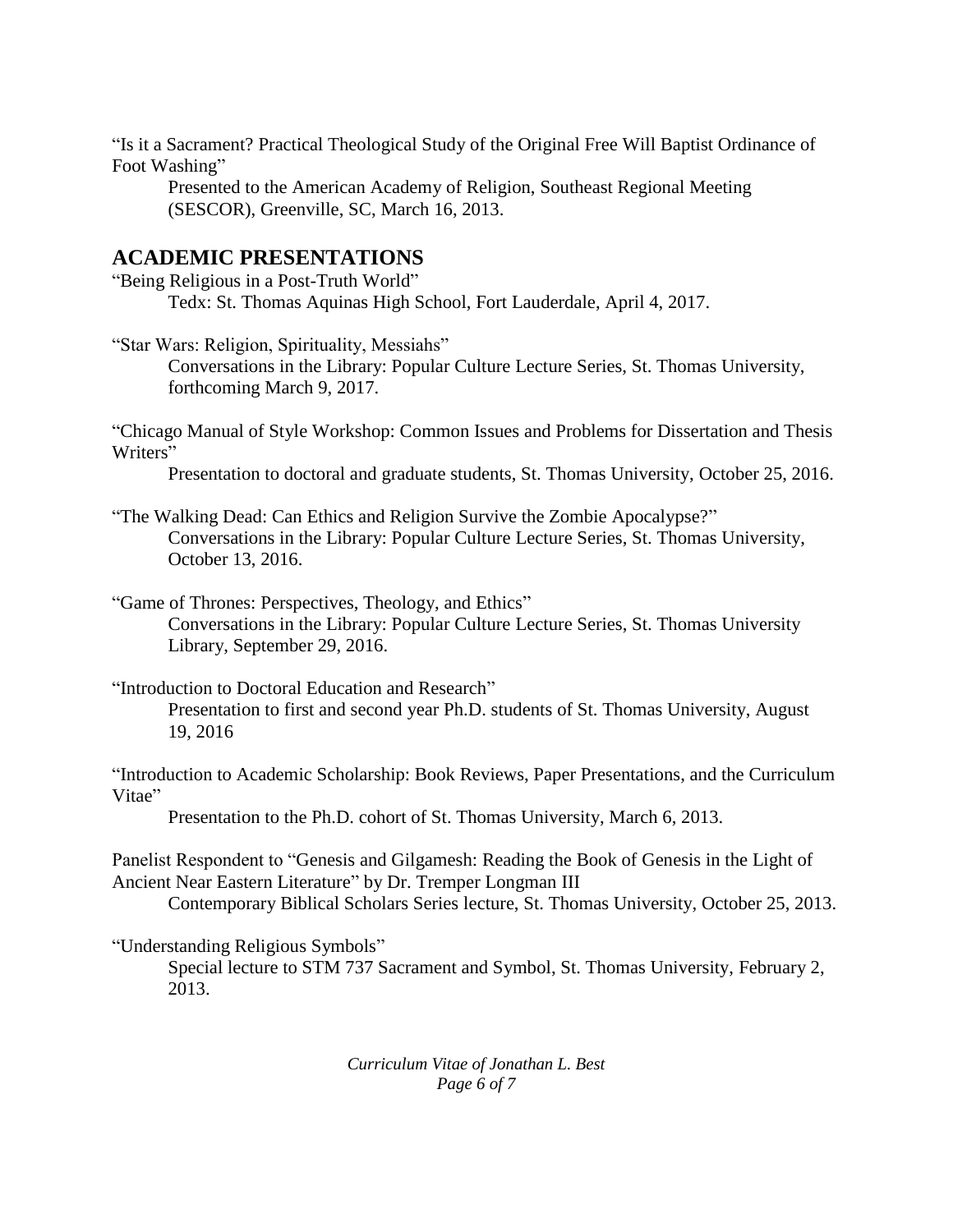"Is it a Sacrament? Practical Theological Study of the Original Free Will Baptist Ordinance of Foot Washing"

Presented to the American Academy of Religion, Southeast Regional Meeting (SESCOR), Greenville, SC, March 16, 2013.

#### **ACADEMIC PRESENTATIONS**

"Being Religious in a Post-Truth World" Tedx: St. Thomas Aquinas High School, Fort Lauderdale, April 4, 2017.

"Star Wars: Religion, Spirituality, Messiahs"

Conversations in the Library: Popular Culture Lecture Series, St. Thomas University, forthcoming March 9, 2017.

"Chicago Manual of Style Workshop: Common Issues and Problems for Dissertation and Thesis Writers"

Presentation to doctoral and graduate students, St. Thomas University, October 25, 2016.

"The Walking Dead: Can Ethics and Religion Survive the Zombie Apocalypse?" Conversations in the Library: Popular Culture Lecture Series, St. Thomas University, October 13, 2016.

"Game of Thrones: Perspectives, Theology, and Ethics"

Conversations in the Library: Popular Culture Lecture Series, St. Thomas University Library, September 29, 2016.

"Introduction to Doctoral Education and Research"

Presentation to first and second year Ph.D. students of St. Thomas University, August 19, 2016

"Introduction to Academic Scholarship: Book Reviews, Paper Presentations, and the Curriculum Vitae"

Presentation to the Ph.D. cohort of St. Thomas University, March 6, 2013.

Panelist Respondent to "Genesis and Gilgamesh: Reading the Book of Genesis in the Light of Ancient Near Eastern Literature" by Dr. Tremper Longman III

Contemporary Biblical Scholars Series lecture, St. Thomas University, October 25, 2013.

"Understanding Religious Symbols"

Special lecture to STM 737 Sacrament and Symbol, St. Thomas University, February 2, 2013.

> *Curriculum Vitae of Jonathan L. Best Page 6 of 7*